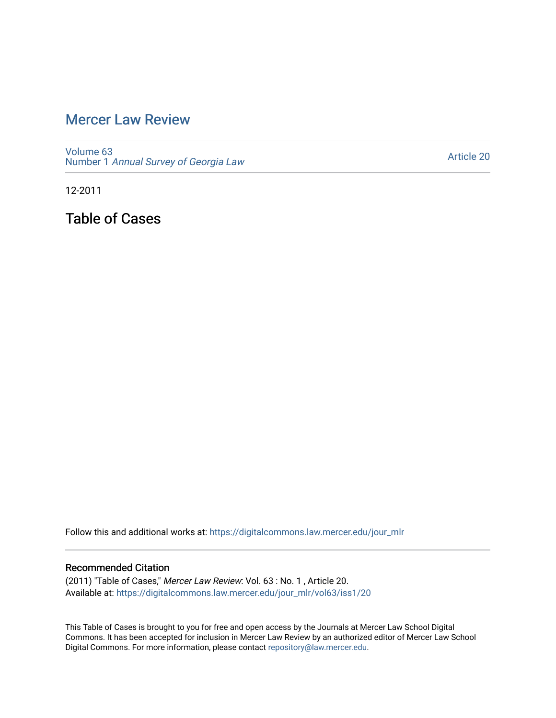## [Mercer Law Review](https://digitalcommons.law.mercer.edu/jour_mlr)

[Volume 63](https://digitalcommons.law.mercer.edu/jour_mlr/vol63) Number 1 [Annual Survey of Georgia Law](https://digitalcommons.law.mercer.edu/jour_mlr/vol63/iss1) 

[Article 20](https://digitalcommons.law.mercer.edu/jour_mlr/vol63/iss1/20) 

12-2011

Table of Cases

Follow this and additional works at: [https://digitalcommons.law.mercer.edu/jour\\_mlr](https://digitalcommons.law.mercer.edu/jour_mlr?utm_source=digitalcommons.law.mercer.edu%2Fjour_mlr%2Fvol63%2Fiss1%2F20&utm_medium=PDF&utm_campaign=PDFCoverPages)

## Recommended Citation

(2011) "Table of Cases," Mercer Law Review: Vol. 63 : No. 1 , Article 20. Available at: [https://digitalcommons.law.mercer.edu/jour\\_mlr/vol63/iss1/20](https://digitalcommons.law.mercer.edu/jour_mlr/vol63/iss1/20?utm_source=digitalcommons.law.mercer.edu%2Fjour_mlr%2Fvol63%2Fiss1%2F20&utm_medium=PDF&utm_campaign=PDFCoverPages) 

This Table of Cases is brought to you for free and open access by the Journals at Mercer Law School Digital Commons. It has been accepted for inclusion in Mercer Law Review by an authorized editor of Mercer Law School Digital Commons. For more information, please contact [repository@law.mercer.edu](mailto:repository@law.mercer.edu).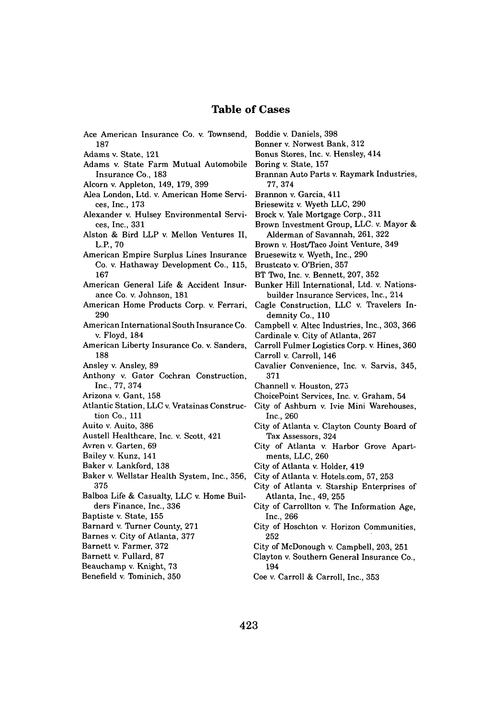## **Table of Cases**

| Ace American Insurance Co. v. Townsend,                             | в            |
|---------------------------------------------------------------------|--------------|
| 187                                                                 | B            |
| Adams v. State, 121                                                 | в            |
| Adams v. State Farm Mutual Automobile                               | в            |
| Insurance Co., 183                                                  | B            |
| Alcorn v. Appleton, 149, 179, 399                                   |              |
| Alea London, Ltd. v. American Home Servi-<br>ces, Inc., 173         | в<br>в       |
| Alexander v. Hulsey Environmental Servi-                            | в<br>в       |
| ces, Inc., 331                                                      |              |
| Alston & Bird LLP v. Mellon Ventures II,<br>L.P., 70                | в            |
| American Empire Surplus Lines Insurance                             | в            |
| Co. v. Hathaway Development Co., 115,                               | В            |
| 167                                                                 | в            |
| American General Life & Accident Insur-<br>ance Co. v. Johnson, 181 | в            |
| American Home Products Corp. v. Ferrari,                            | $\mathbf C$  |
| 290                                                                 |              |
| American International South Insurance Co.                          | С            |
| v. Floyd, 184                                                       | С            |
| American Liberty Insurance Co. v. Sanders,                          | С            |
| 188                                                                 | с            |
| Ansley v. Ansley, 89                                                | $\mathbf C$  |
| Anthony v. Gator Cochran Construction,                              |              |
| Inc., 77, 374                                                       | $\mathbf C$  |
| Arizona v. Gant, 158                                                | C.           |
| Atlantic Station, LLC v. Vratsinas Construc-                        | C.           |
| tion Co., 111                                                       |              |
| Auito v. Auito, 386                                                 | C,           |
| Austell Healthcare, Inc. v. Scott, 421                              |              |
| Avren v. Garten, 69                                                 | С            |
| Bailey v. Kunz, 141                                                 |              |
| Baker v. Lankford, 138                                              | C            |
| Baker v. Wellstar Health System, Inc., 356,                         | C.           |
| 375                                                                 | C)           |
| Balboa Life & Casualty, LLC v. Home Buil-                           |              |
| ders Finance, Inc., 336                                             | Ci           |
| Baptiste v. State, 155                                              |              |
| Barnard v. Turner County, 271                                       | C)           |
| Barnes v. City of Atlanta, 377                                      |              |
| Barnett v. Farmer, 372                                              | Ci           |
| Barnett v. Fullard, 87                                              | C)           |
| Beauchamp v. Knight, 73                                             |              |
| Benefield v. Tominich, 350                                          | $\mathbf{C}$ |
|                                                                     |              |
|                                                                     |              |

- Boddie v. Daniels, **398**
- Bonner v. Norwest Bank, **312**
- Bonus Stores, Inc. v. Hensley, 414
- Boring v. State, **157**
- Brannan Auto Parts v. Raymark Industries, **77,** 374
- Brannon v. Garcia, 411
- Briesewitz v. Wyeth **LLC, 290**
- Brock v. Yale Mortgage Corp., **311**
- Brown Investment Group, **LLC.** v. Mayor **&** Alderman of Savannah, **261, 322**
- Brown v. Host/Taco Joint Venture, 349
- Bruesewitz v. Wyeth, Inc., **290**
- Brustcato v. O'Brien, **357**
- BT Two, Inc. v. Bennett, **207, 352**
- Bunker Hill International, Ltd. v. Nationsbuilder Insurance Services, Inc., 214
- agle Construction, LLC v. Travelers Indemnity Co., **110**
- Campbell v. Altec Industries, Inc., **303, 366** Cardinale v. City of Atlanta, **267**
- Carroll Fulmer Logistics Corp. v. Hines, **360** Carroll v. Carroll, 146
- Cavalier Convenience, Inc. v. Sarvis, 345, **371**
- Channell v. Houston, **275**
- hoicePoint Services, Inc. v. Graham, 54
- ity of Ashburn v. Ivie Mini Warehouses, Inc., **260**
- ity of Atlanta v. Clayton County Board of Tax Assessors, 324
- ity of Atlanta v. Harbor Grove Apartments, **LLC, 260**
- ity of Atlanta v. Holder, 419
- City of Atlanta v. Hotels.com, **57, 253**
- ity of Atlanta v. Starship Enterprises of Atlanta, Inc., 49, **255**
- ity of Carrollton v. The Information Age, Inc., **266**
- ity of Hoschton v. Horizon Communities, **252**
- City of McDonough v. Campbell, **203, 251**
- layton v. Southern General Insurance Co., 194
- Coe v. Carroll **&** Carroll, Inc., **353**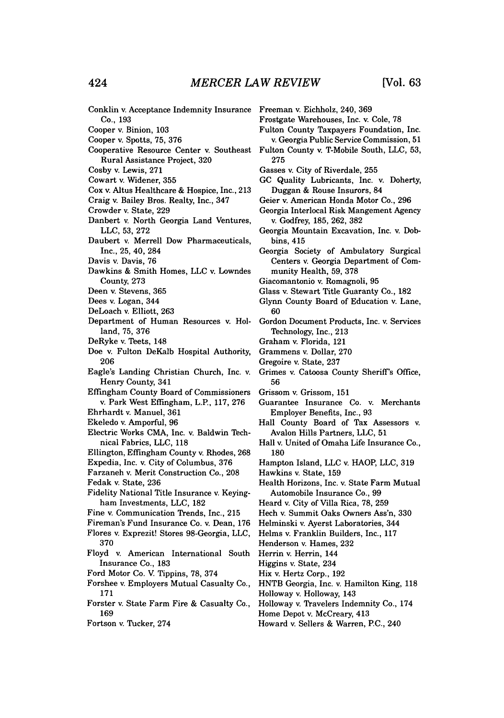Conklin v. Acceptance Indemnity Insurance Freeman v. Eichholz, 240, **369** Co., **193** Cooper v. Binion, **103** Cooper v. Spotts, **75, 376** Cooperative Resource Center v. Southeast Fulton County v. T-Mobile South, **LLC, 53,** Rural Assistance Project, **320** Cosby v. Lewis, **271** Cowart v. Widener, **355** Cox v. Altus Healthcare **&** Hospice, Inc., **213** Craig v. Bailey Bros. Realty, Inc., 347 Crowder v. State, **229** Danbert v. North Georgia Land Ventures, **LLC, 53, 272** Daubert v. Merrell Dow Pharmaceuticals, Inc., **25,** 40, 284 Davis v. Davis, **76** Dawkins **&** Smith Homes, **LLC** v. Lowndes County, **273** Deen v. Stevens, **365** Dees v. Logan, 344 DeLoach v. Elliott, **263** Department of Human Resources v. Holland, 75, 376 DeRyke v. Teets, 148 Doe v. Fulton DeKalb Hospital Authority, **206** Eagle's Landing Christian Church, Inc. v. Henry County, 341 Efflmgham County Board of Commissioners v. Park West Eflingham, L.P, **117, 276** Ehrhardt v. Manuel, **361** Ekeledo v. Amporful, **96** Electric Works **CMA,** Inc. v. Baldwin 'Ibchnical Fabrics, **LLC, 118** Ellington, Effingham County v. Rhodes, **268** Expedia, Inc. v. City of Columbus, **376** Farzaneh v. Merit Construction Co., **208** Fedak v. State, **236** Fidelity National Title Insurance v. Keyingham Investments, **LLC, 182** Fine v. Communication Trends, Inc., **215** Fireman's Fund Insurance Co. v. Dean, **176** Flores v. Exprezit! Stores 98-Georgia, **LLC, 370** Floyd v. American International South Insurance Co., **183** Ford Motor Co. V. Tippins, **78,** 374 Forshee v. Employers Mutual Casualty Co., **171** Forster v. State Farm Fire **&** Casualty Co., **169** Fortson v. Tucker, 274 Frostgate Warehouses, Inc. v. Cole, **78 275** bins, 415 munity Health, **59, 378 60** Technology, Inc., **213** Graham v. Florida, 121 Grammens v. Dollar, **270** Gregoire v. State, **237 56** Grissom v. Grissom, **151 180** Hawkins v. State, **159** Henderson v. Hames, **232** Herrin v. Herrin, 144 Higgins v. State, 234 Hix v. Hertz Corp., **192** Holloway v. Holloway, 143 Home Depot v. McCreary, 413

Fulton County Taxpayers Foundation, Inc.

- v. Georgia Public Service Commission, **51**
- 

Gasses v. City of Riverdale, **255**

- **GC** Quality Lubricants, Inc. v. Doherty, Duggan **&** Rouse Insurors, 84
- Geier v. American Honda Motor Co., **296**
- Georgia Interlocal Risk Mangement Agency v. Godfrey, **185, 262, 382**
- Georgia Mountain Excavation, Inc. v. Dob-
- Georgia Society of Ambulatory Surgical Centers v. Georgia Department of Com-
- Giacomantonio v. Romagnoli, **95**
- Glass v. Stewart Title Guaranty Co., **182**
- Glynn County Board of Education v. Lane,
- Gordon Document Products, Inc. v. Services
- Grimes v. Catoosa County Sheriff's Office,
- Guarantee Insurance Co. v. Merchants Employer Benefits, Inc., **93**
- Hall County Board of Tax Assessors v. Avalon Hills Partners, **LLC, 51**
- Hall v. United of Omaha Life Insurance Co.,
- Hampton Island, **LLC** v. HAOP, **LLC, 319**
- Health Horizons, Inc. v. State Farm Mutual Automobile Insurance Co., **99**
- Heard v. City of Villa Rica, **78, 259**
- Hech v. Summit Oaks Owners Ass'n, **330**
- Helminski v. Ayerst Laboratories, 344
- Helms v. Franklin Builders, Inc., **117**
- HNTB Georgia, Inc. v. Hamilton King, **118**
	-
- Holloway v. Travelers Indemnity Co., 174
- 
- Howard v. Sellers **&** Warren, PC., 240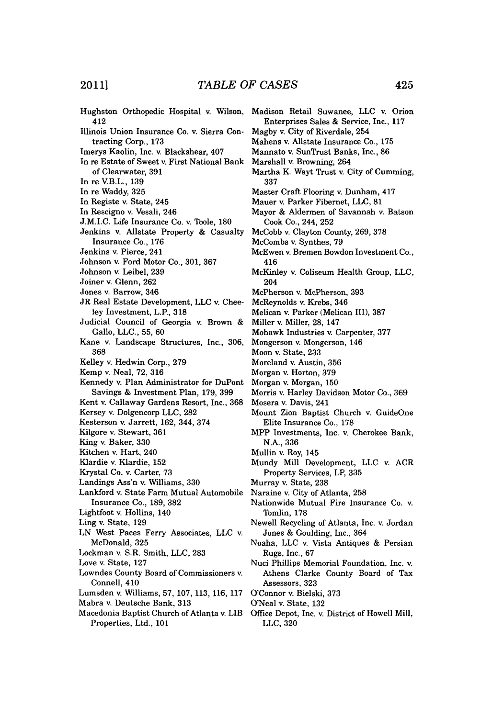- Hughston Orthopedic Hospital v. Wilson, Madison Retail Suwanee, **LLC** v. Orion 412
- Illinois Union Insurance Co. v. Sierra Contracting Corp., **173**
- Imerys Kaolin, Inc. v. Blackshear, 407
- In re Estate of Sweet v. First National Bank of Clearwater, **391**
- In re V.B.L., **139**
- In re Waddy, **325**
- In Registe v. State, 245
- In Rescigno v. Vesali, 246
- **J.M.I.C.** Life Insurance Co. v. Toole, **180**
- Jenkins v. Allstate Property **&** Casualty Insurance Co., **176**
- Jenkins v. Pierce, 241
- Johnson v. Ford Motor Co., **301, 367**
- Johnson v. Leibel, **239**
- Joiner v. Glenn, **262**
- Jones v. Barrow, 346
- JR Real Estate Development, **LLC** v. Chee**ley** Investment, L.P., **318**
- Judicial Council of Georgia v. Brown **&** Gallo, **LLC., 55, 60**
- Kane v. Landscape Structures, Inc., **306, 368**
- Kelley v. Hedwin Corp., **279**
- Kemp v. Neal, **72, 316**
- Kennedy v. Plan Administrator for DuPont Savings **&** Investment Plan, **179, 399**
- Kent v. Callaway Gardens Resort, Inc., **368**
- Kersey v. Dolgencorp **LLC, 282**
- Kesterson v. Jarrett, **162,** 344, 374
- Kilgore v. Stewart, **361**
- King v. Baker, **330**
- Kitchen v. Hart, 240
- Klardie v. Klardie, **152**
- Krystal Co. v. Carter, **73**
- Landings Ass'n v. Williams, **330**
- Lankford v. State Farm Mutual Automobile Insurance Co., **189, 382**
- Lightfoot v. Hollins, 140
- Ling v. State, **129**
- **LN** West Paces Ferry Associates, **LLC** v. McDonald, **325**
- Lockman v. S.R. Smith, **LLC, 283**
- Love v. State, **127**
- Lowndes County Board of Commissioners v. Connell, 410
- Lumsden v. Williams, **57, 107, 113, 116, 117**
- Mabra v. Deutsche Bank, **313**
- Macedonia Baptist Church of Atlanta v. LIB Properties, Ltd., **101**
- Enterprises Sales **&** Service, Inc., **117**
- Magby v. City of Riverdale, 254
- Mahens v. Allstate Insurance Co., **175**
- Mannato v. SunTrust Banks, Inc., **86**
- Marshall v. Browning, 264
- Martha K Wayt Trust v. City of Cumming, **337**
- Master Craft Flooring v. Dunham, 417
- Mauer v. Parker Fibernet, **LLC, 81**
- Mayor **&** Aldermen of Savannah v. Batson Cook Co., 244, **252**
- McCobb v. Clayton County, **269, 378**
- McCombs v. Synthes, **79**
- McEwen v. Bremen Bowdon Investment Co., 416
- McKinley v. Coliseum Health Group, **LLC,** 204
- McPherson v. McPherson, **393**
- McReynolds v. Krebs, 346
- Melican v. Parker (Melican III), **387**
- Miller v. Miller, **28,** 147
- Mohawk Industries v. Carpenter, **377**
- Mongerson v. Mongerson, 146
- Moon v. State, **233**
- Moreland v. Austin, **356**
- Morgan v. Horton, **379**
- Morgan v. Morgan, **150**
- Morris v. Harley Davidson Motor Co., **369**
- Mosera v. Davis, 241
- Mount Zion Baptist Church v. GuideOne Elite Insurance Co., **178**
- MPP Investments, Inc. v. Cherokee Bank, **N.A., 336**
- Mullin v. Roy, 145
- Mundy Mill Development, **LLC** v. ACR Property Services, LP, **335**
- Murray v. State, **238**
- Naraine v. City of Atlanta, **258**
- Nationwide Mutual Fire Insurance Co. v. Tomlin, **178**
- Newell Recycling of Atlanta, Inc. v. Jordan Jones **&** Goulding, Inc., 364
- Noaha, **LLC** v. Vista Antiques **&** Persian Rugs, Inc., **67**
- Nuci Phillips Memorial Foundation, Inc. v. Athens Clarke County Board of Tax Assessors, **323**
- O'Connor v. Bielski, **373**
- O'Neal v. State, **132**
- Office Depot, Inc. v. District of Howell Mill, **LLC, 320**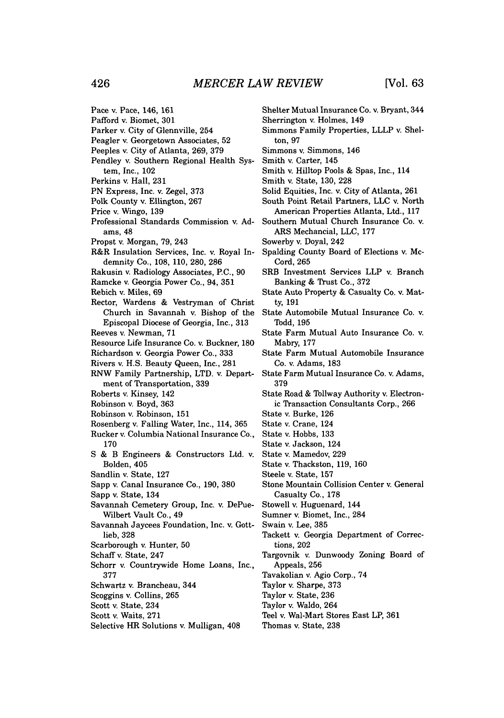Pace v. Pace, 146, **161**

- Pafford v. Biomet, **301**
- Parker v. City of Glennville, 254
- Peagler v. Georgetown Associates, **52**
- Peeples v. City of Atlanta, **269, 379**
- Pendley v. Southern Regional Health System, Inc., 102
- Perkins v. Hall, **231**
- **PN** Express, Inc. v. Zegel, **373**
- Polk County v. Ellington, **267**
- Price v. Wingo, **139**
- 
- Professional Standards Commission v. **Ad**ams, 48
- Propst v. Morgan, **79,** 243
- R&R Insulation Services, Inc. v. Royal Indemnity Co., **108, 110, 280, 286**
- Rakusin v. Radiology Associates, **P.C., 90**
- Ramcke v. Georgia Power Co., 94, **351**
- Rebich v. Miles, **69**
- Rector, Wardens **&** Vestryman of Christ Church in Savannah v. Bishop of the Episcopal Diocese of Georgia, Inc., **313**
- Reeves v. Newman, **71**
- Resource Life Insurance Co. v. Buckner, **180**
- Richardson v. Georgia Power Co., **333**
- Rivers v. **H.S.** Beauty Queen, Inc., **281**
- RNW Family Partnership, LTD. v. Department of Transportation, **339**
- Roberts v. Kinsey, 142
- Robinson v. Boyd, **363**
- Robinson v. Robinson, **151**
- Rosenberg v. Falling Water, Inc., 114, **365**
- Rucker v. Columbia National Insurance Co., **170**
- **S &** B Engineers **&** Constructors Ltd. v. Bolden, 405
- Sandlin v. State, **127**
- Sapp v. Canal Insurance Co., **190, 380**
- Sapp v. State, 134
- Savannah Cemetery Group, Inc. v. DePue-Wilbert Vault Co., 49
- Savannah Jaycees Foundation, Inc. v. Gottlieb, **328**
- Scarborough v. Hunter, **50**
- Schaff v. State, 247
- Schorr v. Countrywide Home Loans, Inc., **377**
- Schwartz v. Brancheau, 344
- Scoggins v. Collins, **265**
- Scott v. State, 234
- Scott v. Waits, **271**
- Selective HR Solutions v. Mulligan, 408
- Shelter Mutual Insurance Co. v. Bryant, 344
- Sherrington v. Holmes, 149
- Simmons Family Properties, LLLP v. Shelton, **97**
- Simmons v. Simmons, 146
- Smith v. Carter, 145
- Smith v. Hilltop Pools **&** Spas, Inc., 114
- Smith v. State, **130, 228**
- Solid Equities, Inc. v. City of Atlanta, **261**
- South Point Retail Partners, **LLC** v. North American Properties Atlanta, Ltd., **117**
- Southern Mutual Church Insurance Co. v. ARS Mechancial, **LLC, 177**
- Sowerby v. Doyal, 242
- Spalding County Board of Elections v. Mc-Cord, 265
- SRB Investment Services LLP v. Branch Banking **&** Trust Co., **372**
- State Auto Property **&** Casualty Co. v. Matty, **191**
- State Automobile Mutual Insurance Co. v. **Todd, 195**
- State Farm Mutual Auto Insurance Co. v. Mabry, **177**
- State Farm Mutual Automobile Insurance Co. v. Adams, **183**
- State Farm Mutual Insurance Co. v. Adams, **379**
- State Road **&** Tollway Authority v. Electronic Transaction Consultants Corp., **266**
- State v. Burke, **126**
- State v. Crane, 124
- State v. Hobbs, **133**
- State v. Jackson, 124
- State v. Mamedov, **229**
- State v. Thackston, **119, 160**
- Steele v. State, **157**
- Stone Mountain Collision Center v. General Casualty Co., **178**

Stowell v. Huguenard, 144

- Sumner v. Biomet, Inc., 284
- Swain v. Lee, **385**
- Tackett v. Georgia Department of Corrections, 202
- Targovnik v. Dunwoody Zoning Board of Appeals, **256**
- Tavakolian v. Agio Corp., 74
- Taylor v. Sharpe, **373**
- Taylor v. State, **236**
- Taylor v. Waldo, 264
- Teel v. Wal-Mart Stores East LP, **361**
- Thomas v. State, **238**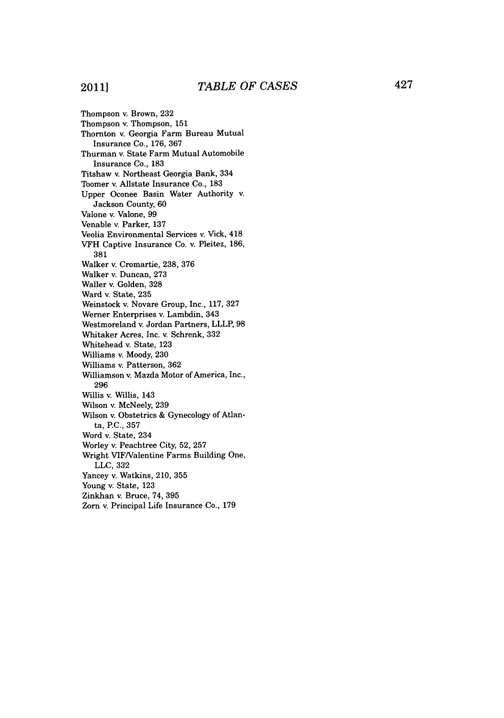## 2011]

Thompson v. Brown, **232** Thompson **v.** Thompson, **151** Thornton v. Georgia Farm Bureau Mutual Insurance Co., **176, 367** Thurman v. State Farm Mutual Automobile Insurance Co., **183** Titshaw v. Northeast Georgia Bank, 334 Toomer v. Allstate Insurance Co., **183** Upper Oconee Basin Water Authority v. Jackson County, **60** Valone v. Valone, **99** Venable v. Parker, **137** Veolia Environmental Services v. Vick, 418 VFH Captive Insurance Co. v. Pleitez, **186, 381** Walker v. Cromartie, **238, 376** Walker v. Duncan, **273** Waller v. Golden, **328** Ward v. State, **235** Weinstock v. Novare Group, Inc., **117, 327** Werner Enterprises v. Lambdin, 343 Westmoreland v. Jordan Partners, LLLP, **98** Whitaker Acres, Inc. v. Schrenk, **332** Whitehead v. State, **123** Williams v. Moody, **230** Williams v. Patterson, **362** Williamson v. Mazda Motor of America, Inc., **296** Willis v. Willis, 143 Wilson v. McNeely, **239** Wilson v. Obstetrics **&** Gynecology of Atlanta, **P.C., 357** Word v. State, 234 Worley v. Peachtree City, **52, 257** Wright VIF/Valentine Farms Building One, **LLC, 332** Yancey v. Watkins, 210, **355** Young v. State, **123** Zinkhan v. Bruce, 74, **395** Zorn v. Principal Life Insurance Co., **179**